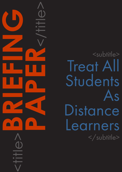<subtitle> Treat All **Students** As Distance Learners </subtitle> **PAPER**<br>CONSTRAINS

<title>**BRIEFING**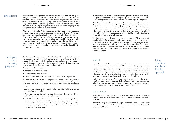## CAPDM Ltd. CAPDM Ltd.

Introduction Distance Learning (DL) programmes present new issues for many university and college departments. There are a number of possible approaches they and their institutions can take to the development of such programmes. For example, there is a tendency to view DL programme developments as entirely new programmes, designed specifically for that purpose. However, there is often real merit in developing DL programmes from existing, successful programmes being delivered on-campus or in the classroom.

> Whatever the origin of a DL development, one point is clear – that the needs of distance learning and on-campus programmes are quite different. At the same time, there are points of overlap that can be used to advantage. Obviously, a DL programme derived from an existing on-campus programme should share a programme description, a course syllabus, learning objectives and possibly assessment strategies. However there is also a potential benefit for the oncampus course offered by the distance version: all materials developed to support the DL version are equally applicable to (and can be shared by) the on-campus programme.

> > **Other** benefits of the distance learning approach

Developing a DL programme and its materials can be a significant effort and can be relatively costly; so it is important to get it right. This effort is akin to product development in industry and commerce, and should be preceded by a product design phase which helps to ensure that the product meets all user requirements. Good DL programmes therefore tend to:

- be precise in their objectives;
- look fresh in an academic sense:
- be directed and fit for purpose;
- exude a quality of build that exceeds current on-campus programmes.

This latter point does not reflect a negative view of on-campus programmes. Rather, it is a reflection of the advantages of being able to take time, stand back, and produce a design that meets all the objectives that are intended for a programme.

It is perhaps worth pausing at this point to take a look at an existing on-campus programme in your institution.

- •Does the programme descriptor (and do all the module descriptors) actually reflect the current offering and the original requirements?
- •Look at the overall sets of learning materials: is there a consistency to them; would they meet any quality standards used within your institution; is their coverage of their courses comprehensive; and are they easily usable, particularly in exceptional circumstances such as when a temporary lecturer has to stand in for a colleague?

•Are the materials designed to ensure that the quality of a course is continually improved, or does the quality (and possibly the direction) of a course alter and perhaps suffer each time a new member of staff is put in charge of it?

When the advantages that can be derived from a well-designed and produced DL programme are seen in their full light, it is natural to ask, "If there are such obvious advantages, why don't we do that for all our students?" There are usually resource reasons why this is impossible for all existing programmes, but it does provide an incentive to take a fresh look at any programme that is being adapted for DL. This approach can also help to set a higher quality standard for an institution to aspire to for all its courses.

The disciplined approach required for the development of DL programmes is equally valuable for all learning modes, and institutions that recognise this are able to improve the quality of **all** their programmes and save money at the same time. Not surprisingly, academic teams also obtain major benefits – greater confidence in the quality of their teaching, less time wasted on producing ad-hoc materials with a short life span and more time and money to pursue important academic interests.

#### **Students**

The students benefit too. Programmes and courses are more coherent as objectives and outcomes are clearer. Materials are of higher quality and greater relevance - they are consistent and comprehensive, and they are better integrated for tutor-led as well as self-study. In fact, this represents a step towards a significantly improved learning environment for all students, enhancing flexibility for all and helping to remove disadvantages for some. The result is a better overall learning experience for today's students.

Such developments require effort but, once in place, they can also be of great benefit to the academic staff - particularly by freeing them from some of the less valuable contact time they have with students and allowing them to concentrate on high-value contact. All students benefit from such changes.

## The institution

Finally, there is potential benefit for the institution. The quality of the learning experience for the student can be enhanced, improving the reputation of the institution.

Distance learning developments also represent diversification opportunities for the institution that can help to exploit new sources of income and extend its reach – possibly on an international scale.

Developing a distance learning programme